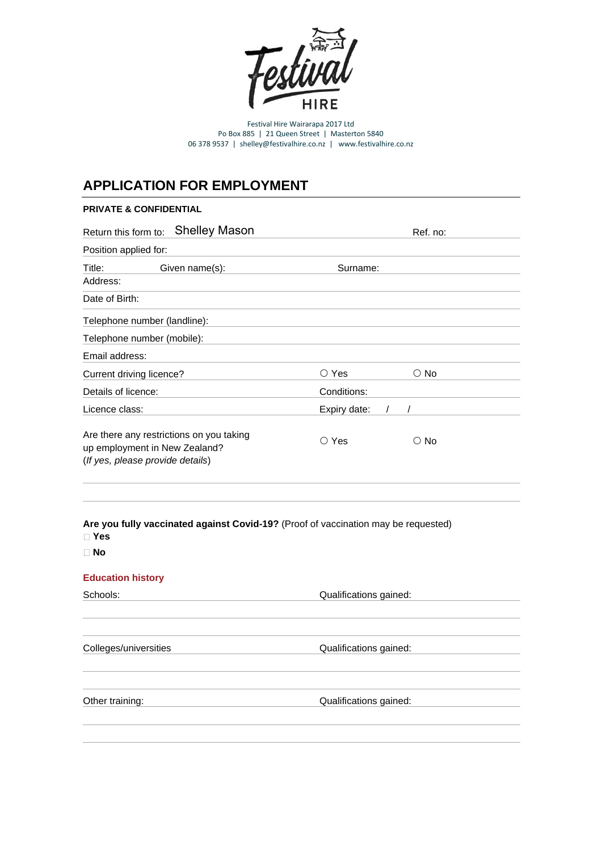

Festival Hire Wairarapa 2017 Ltd Po Box 885 | 21 Queen Street | Masterton 5840 06 378 9537 | shelley@festivalhire.co.nz | www.festivalhire.co.nz

# **APPLICATION FOR EMPLOYMENT**

# **PRIVATE & CONFIDENTIAL**

| <b>Shelley Mason</b><br>Return this form to:                                                                  | Ref. no:                        |
|---------------------------------------------------------------------------------------------------------------|---------------------------------|
| Position applied for:                                                                                         |                                 |
| Title:<br>Given name(s):                                                                                      | Surname:                        |
| Address:                                                                                                      |                                 |
| Date of Birth:                                                                                                |                                 |
| Telephone number (landline):                                                                                  |                                 |
| Telephone number (mobile):                                                                                    |                                 |
| Email address:                                                                                                |                                 |
| Current driving licence?                                                                                      | $\bigcirc$ Yes<br>$\bigcirc$ No |
| Details of licence:                                                                                           | Conditions:                     |
| Licence class:                                                                                                | Expiry date:<br>$\prime$        |
| Are there any restrictions on you taking<br>up employment in New Zealand?<br>(If yes, please provide details) | $\bigcirc$ Yes<br>$\bigcirc$ No |
| Are you fully vaccinated against Covid-19? (Proof of vaccination may be requested)<br>$\Box$ Yes<br>$\Box$ No |                                 |
|                                                                                                               |                                 |
| <b>Education history</b><br>Schools:                                                                          | Qualifications gained:          |
|                                                                                                               |                                 |
|                                                                                                               |                                 |
| Colleges/universities                                                                                         | Qualifications gained:          |
|                                                                                                               |                                 |
|                                                                                                               |                                 |
| Other training:                                                                                               | Qualifications gained:          |
|                                                                                                               |                                 |
|                                                                                                               |                                 |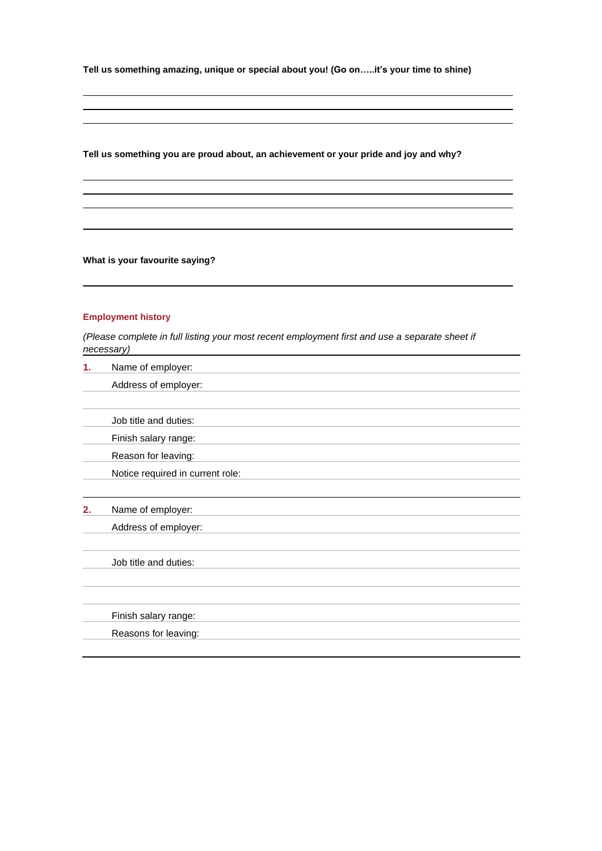**Tell us something amazing, unique or special about you! (Go on…..it's your time to shine)**

**Tell us something you are proud about, an achievement or your pride and joy and why?**

**What is your favourite saying?**

## **Employment history**

*(Please complete in full listing your most recent employment first and use a separate sheet if necessary)*

| 1. | Name of employer:                |
|----|----------------------------------|
|    | Address of employer:             |
|    |                                  |
|    | Job title and duties:            |
|    | Finish salary range:             |
|    | Reason for leaving:              |
|    | Notice required in current role: |
|    |                                  |
| 2. | Name of employer:                |
|    | Address of employer:             |
|    |                                  |
|    | Job title and duties:            |
|    |                                  |
|    |                                  |
|    | Finish salary range:             |
|    | Reasons for leaving:             |
|    |                                  |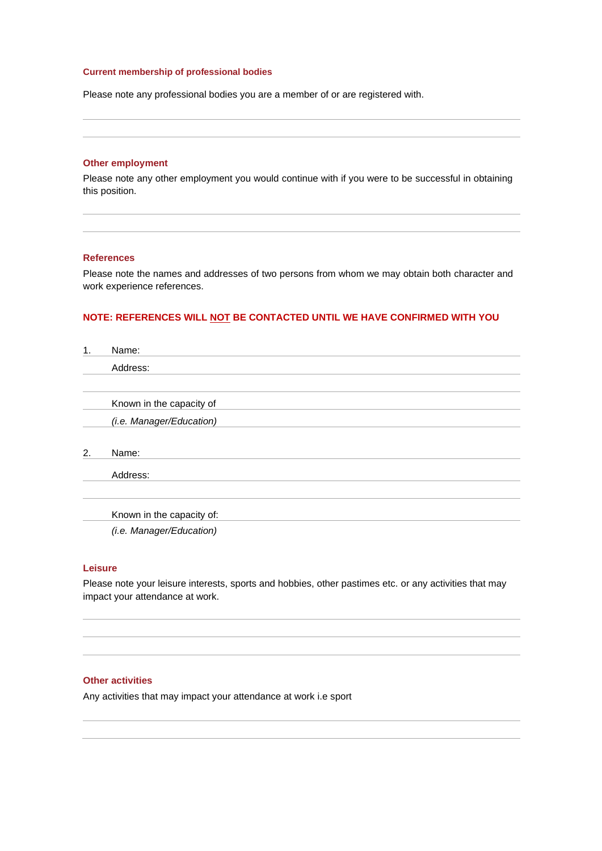# **Current membership of professional bodies**

Please note any professional bodies you are a member of or are registered with.

### **Other employment**

Please note any other employment you would continue with if you were to be successful in obtaining this position.

#### **References**

Please note the names and addresses of two persons from whom we may obtain both character and work experience references.

# **NOTE: REFERENCES WILL NOT BE CONTACTED UNTIL WE HAVE CONFIRMED WITH YOU**

| 1. | Name:                     |
|----|---------------------------|
|    | Address:                  |
|    |                           |
|    | Known in the capacity of  |
|    | (i.e. Manager/Education)  |
| 2. | Name:                     |
|    | Address:                  |
|    | Known in the capacity of: |
|    | (i.e. Manager/Education)  |

#### **Leisure**

Please note your leisure interests, sports and hobbies, other pastimes etc. or any activities that may impact your attendance at work.

# **Other activities**

Any activities that may impact your attendance at work i.e sport